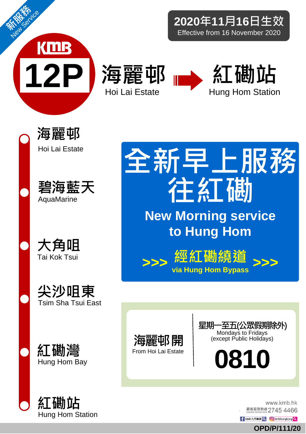

**2020**年**11**月**16**日生效 Effective from 16 November 2020















糽磡灣 Hung Hom Bay



全新早上服務 往紅磡 **New Morning service to Hung Hom**





星期一至五(公眾假期除外) Mondays to Fridays (except Public Holidays)

**0810**

www.kmb.hk 願客服務熱線 2745 4466

f KMB九巴専頁 Q **+ contract contract contract contract contract contract contract contract contract contract control de de de la contract contract contract contract contract contract contract contract contract contract contr** 

**OPD/P/111/20**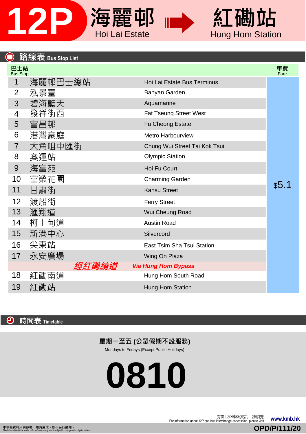

## 紅磡站 Hung Hom Station

| <u>路線</u> 表 Bus Stop List |                               |            |
|---------------------------|-------------------------------|------------|
| 巴士站<br>Bus Stop           |                               | 車費<br>Fare |
| 海麗邨巴士總站                   | Hoi Lai Estate Bus Terminus   |            |
| 泓景臺                       | Banyan Garden                 |            |
| 碧海藍天                      | Aquamarine                    |            |
| 發祥街西                      | <b>Fat Tseung Street West</b> |            |
| 富昌邨                       | Fu Cheong Estate              |            |
| 港灣豪庭                      | <b>Metro Harbourview</b>      |            |
| 大角咀中匯街                    | Chung Wui Street Tai Kok Tsui |            |
| 奧運站                       | <b>Olympic Station</b>        |            |
| 海富苑                       | Hoi Fu Court                  |            |
| 富榮花園                      | <b>Charming Garden</b>        |            |
| 甘肅街                       | <b>Kansu Street</b>           | \$5.1      |
| 渡船街                       | <b>Ferry Street</b>           |            |
| 滙翔道                       | Wui Cheung Road               |            |
| 柯士甸道                      | Austin Road                   |            |
| 新港中心                      | Silvercord                    |            |
| 尖東站                       | East Tsim Sha Tsui Station    |            |
| 永安廣場                      | Wing On Plaza                 |            |
| 經紅磡繞道                     | <b>Via Hung Hom Bypass</b>    |            |
| 紅磡南道                      | Hung Hom South Road           |            |
| 紅磡站                       | Hung Hom Station              |            |
|                           |                               |            |

 $\bigodot$ 時間表 **Timetable**

## 星期一至五 **(**公眾假期不設服務**)**

Mondays to Fridays (Except Public Holidays)

**0810**

The information about 12P bus-bus interchange concession, please visit **www.kmb.hk**<br>For information about 12P bus-bus interchange concession, please visit **www.kmb.hk** 

**OPD/P/111/20**